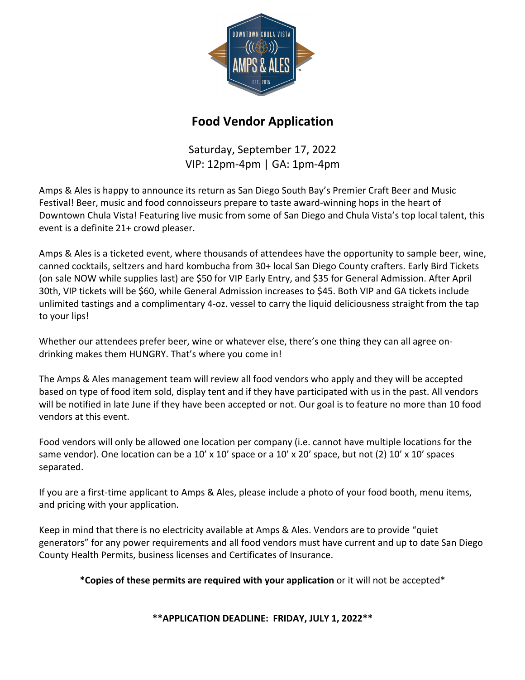

## **Food Vendor Application**

Saturday, September 17, 2022 VIP: 12pm-4pm | GA: 1pm-4pm

Amps & Ales is happy to announce its return as San Diego South Bay's Premier Craft Beer and Music Festival! Beer, music and food connoisseurs prepare to taste award-winning hops in the heart of Downtown Chula Vista! Featuring live music from some of San Diego and Chula Vista's top local talent, this event is a definite 21+ crowd pleaser.

Amps & Ales is a ticketed event, where thousands of attendees have the opportunity to sample beer, wine, canned cocktails, seltzers and hard kombucha from 30+ local San Diego County crafters. Early Bird Tickets (on sale NOW while supplies last) are \$50 for VIP Early Entry, and \$35 for General Admission. After April 30th, VIP tickets will be \$60, while General Admission increases to \$45. Both VIP and GA tickets include unlimited tastings and a complimentary 4-oz. vessel to carry the liquid deliciousness straight from the tap to your lips!

Whether our attendees prefer beer, wine or whatever else, there's one thing they can all agree ondrinking makes them HUNGRY. That's where you come in!

The Amps & Ales management team will review all food vendors who apply and they will be accepted based on type of food item sold, display tent and if they have participated with us in the past. All vendors will be notified in late June if they have been accepted or not. Our goal is to feature no more than 10 food vendors at this event.

Food vendors will only be allowed one location per company (i.e. cannot have multiple locations for the same vendor). One location can be a 10' x 10' space or a 10' x 20' space, but not (2) 10' x 10' spaces separated.

If you are a first-time applicant to Amps & Ales, please include a photo of your food booth, menu items, and pricing with your application.

Keep in mind that there is no electricity available at Amps & Ales. Vendors are to provide "quiet generators" for any power requirements and all food vendors must have current and up to date San Diego County Health Permits, business licenses and Certificates of Insurance.

**\*Copies of these permits are required with your application** or it will not be accepted\*

**\*\*APPLICATION DEADLINE: FRIDAY, JULY 1, 2022\*\***